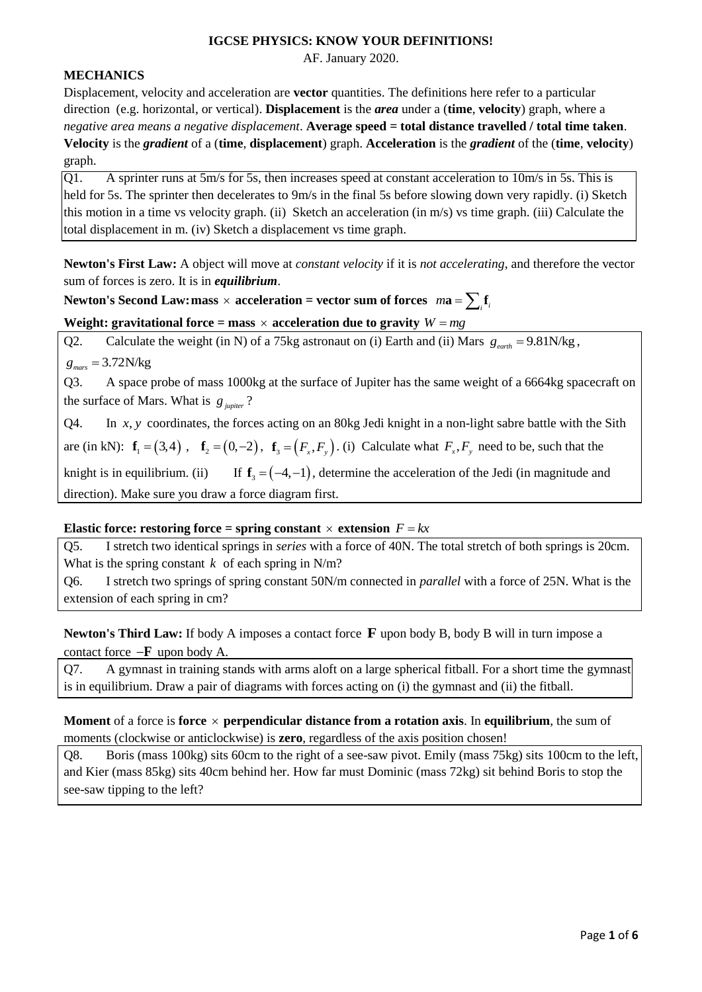#### **IGCSE PHYSICS: KNOW YOUR DEFINITIONS!**

AF. January 2020.

# **MECHANICS**

Displacement, velocity and acceleration are **vector** quantities. The definitions here refer to a particular direction (e.g. horizontal, or vertical). **Displacement** is the *area* under a (**time**, **velocity**) graph, where a *negative area means a negative displacement*. **Average speed = total distance travelled / total time taken**. **Velocity** is the *gradient* of a (**time**, **displacement**) graph. **Acceleration** is the *gradient* of the (**time**, **velocity**) graph.

 $[Q1]$ . A sprinter runs at 5m/s for 5s, then increases speed at constant acceleration to 10m/s in 5s. This is held for 5s. The sprinter then decelerates to 9m/s in the final 5s before slowing down very rapidly. (i) Sketch this motion in a time vs velocity graph. (ii) Sketch an acceleration (in m/s) vs time graph. (iii) Calculate the total displacement in m. (iv) Sketch a displacement vs time graph.

**Newton's First Law:** A object will move at *constant velocity* if it is *not accelerating*, and therefore the vector sum of forces is zero. It is in *equilibrium*.

# Newton's Second Law: mass  $\times$  acceleration = vector sum of forces  $ma = \sum_i \mathbf{f}_i$

# **Weight: gravitational force = mass**  $\times$  **acceleration due to gravity**  $W = mg$

Q2. Calculate the weight (in N) of a 75kg astronaut on (i) Earth and (ii) Mars  $g_{\text{earth}} = 9.81 \text{N/kg}$ ,  $g_{\text{mars}} = 3.72$ N/kg

Q3. A space probe of mass 1000kg at the surface of Jupiter has the same weight of a 6664kg spacecraft on the surface of Mars. What is  $g_{\mu\nu}$ ?

O<sub>4</sub>. *xy*, coordinates, the forces acting on an 80kg Jedi knight in a non-light sabre battle with the Sith are (in kN):  $\mathbf{f}_1 = (3,4)$ ,  $\mathbf{f}_2 = (0,-2)$ ,  $\mathbf{f}_3 = (F_x, F_y)$ . (i) Calculate what  $F_x, F_y$  need to be, such that the knight is in equilibrium. (ii)  $f_3 = (-4, -1)$ , determine the acceleration of the Jedi (in magnitude and direction). Make sure you draw a force diagram first.

#### **Elastic force: restoring force = spring constant**  $\times$  extension  $F = kx$

Q5. I stretch two identical springs in *series* with a force of 40N. The total stretch of both springs is 20cm. What is the spring constant  $k$  of each spring in N/m?

Q6. I stretch two springs of spring constant 50N/m connected in *parallel* with a force of 25N. What is the extension of each spring in cm?

# Newton's Third Law: If body A imposes a contact force **F** upon body B, body B will in turn impose a contact force  $-F$  upon body A.

Q7. A gymnast in training stands with arms aloft on a large spherical fitball. For a short time the gymnast is in equilibrium. Draw a pair of diagrams with forces acting on (i) the gymnast and (ii) the fitball.

**Moment** of a force is **force**  $\times$  **perpendicular distance from a rotation axis**. In **equilibrium**, the sum of moments (clockwise or anticlockwise) is **zero**, regardless of the axis position chosen!

Q8. Boris (mass 100kg) sits 60cm to the right of a see-saw pivot. Emily (mass 75kg) sits 100cm to the left, and Kier (mass 85kg) sits 40cm behind her. How far must Dominic (mass 72kg) sit behind Boris to stop the see-saw tipping to the left?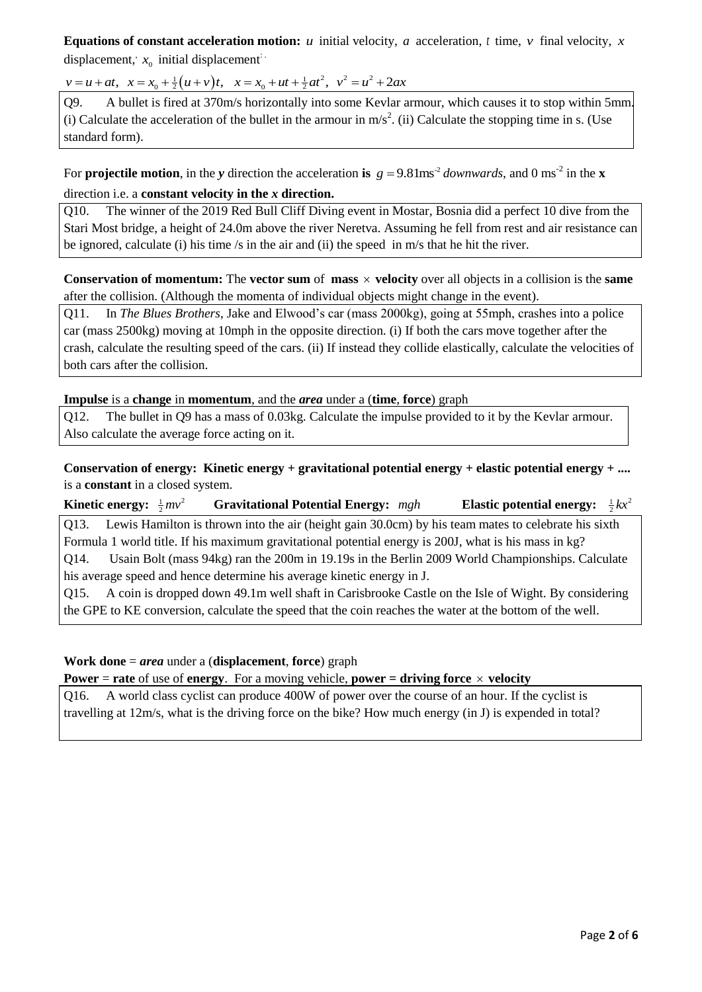**Equations of constant acceleration motion:** *u* initial velocity, *a* acceleration, *t* time, *v* final velocity, *x* displacement,  $x_0$  initial displacement<sup>:</sup> **Equations of constant acceleration motion:** *u* initial velocity, *a* acceleration motion: *u* initial displacement:<br>  $v = u + at$ ,  $x = x_0 + \frac{1}{2}(u + v)t$ ,  $x = x_0 + ut + \frac{1}{2}at^2$ ,  $v^2 = u^2 + 2ax$ 

Q9. A bullet is fired at 370m/s horizontally into some Kevlar armour, which causes it to stop within 5mm. (i) Calculate the acceleration of the bullet in the armour in  $m/s<sup>2</sup>$ . (ii) Calculate the stopping time in s. (Use standard form).

For **projectile motion**, in the *y* direction the acceleration is  $g = 9.81$ ms<sup>-2</sup> downwards, and 0 ms<sup>-2</sup> in the **x** direction i.e. a **constant velocity in the** *x* **direction.**

Q10. The winner of the 2019 Red Bull Cliff Diving event in Mostar, Bosnia did a perfect 10 dive from the Stari Most bridge, a height of 24.0m above the river Neretva. Assuming he fell from rest and air resistance can be ignored, calculate (i) his time /s in the air and (ii) the speed in m/s that he hit the river.

**Conservation of momentum:** The **vector sum** of **mass**  $\times$  **velocity** over all objects in a collision is the **same** after the collision. (Although the momenta of individual objects might change in the event).

Q11. In *The Blues Brothers*, Jake and Elwood's car (mass 2000kg), going at 55mph, crashes into a police car (mass 2500kg) moving at 10mph in the opposite direction. (i) If both the cars move together after the crash, calculate the resulting speed of the cars. (ii) If instead they collide elastically, calculate the velocities of both cars after the collision.

#### **Impulse** is a **change** in **momentum**, and the *area* under a (**time**, **force**) graph

Q12. The bullet in Q9 has a mass of 0.03kg. Calculate the impulse provided to it by the Kevlar armour. Also calculate the average force acting on it.

**Conservation of energy: Kinetic energy + gravitational potential energy + elastic potential energy + ....** is a **constant** in a closed system.

**Kinetic energy:**  $\frac{1}{2}mv^2$ **Gravitational Potential Energy:** mgh  $\frac{1}{2}kx^2$ Q13. Lewis Hamilton is thrown into the air (height gain 30.0cm) by his team mates to celebrate his sixth Formula 1 world title. If his maximum gravitational potential energy is 200J, what is his mass in kg? Q14. Usain Bolt (mass 94kg) ran the 200m in 19.19s in the Berlin 2009 World Championships. Calculate his average speed and hence determine his average kinetic energy in J. Q15. A coin is dropped down 49.1m well shaft in Carisbrooke Castle on the Isle of Wight. By considering the GPE to KE conversion, calculate the speed that the coin reaches the water at the bottom of the well.

# **Work done** = *area* under a (**displacement**, **force**) graph

**Power** = **rate** of use of **energy**. For a moving vehicle, **power = driving force**  $\times$  **velocity** 

Q16. A world class cyclist can produce 400W of power over the course of an hour. If the cyclist is travelling at 12m/s, what is the driving force on the bike? How much energy (in J) is expended in total?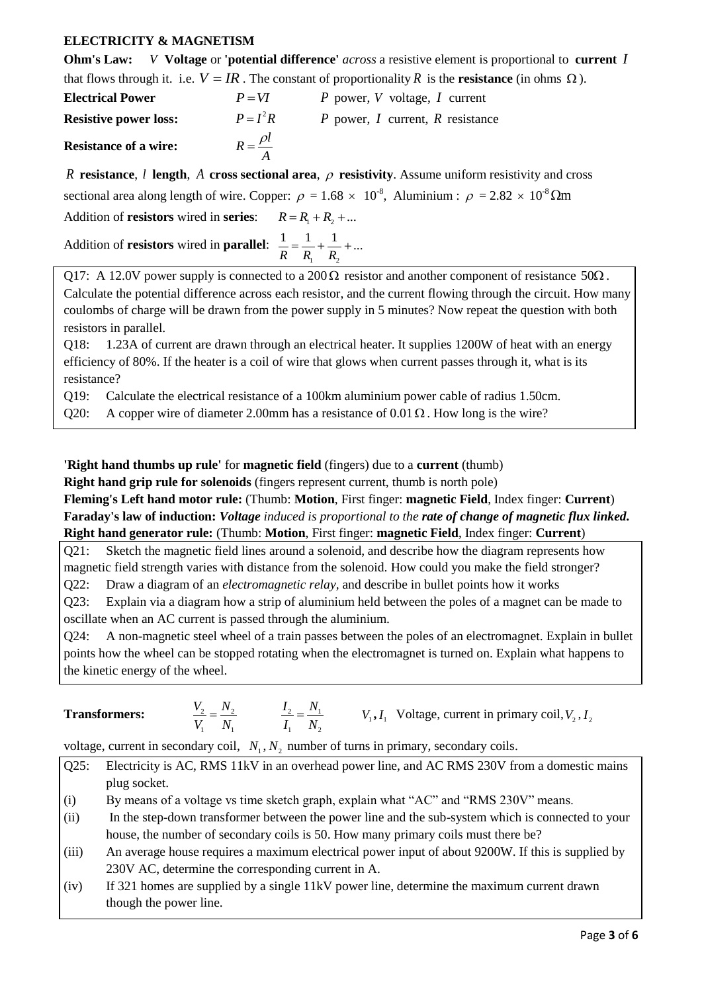# **ELECTRICITY & MAGNETISM**

|                              |                        | <b>Ohm's Law:</b> V Voltage or 'potential difference' <i>across</i> a resistive element is proportional to current     |
|------------------------------|------------------------|------------------------------------------------------------------------------------------------------------------------|
|                              |                        | that flows through it. i.e. $V = IR$ . The constant of proportionality R is the <b>resistance</b> (in ohms $\Omega$ ). |
| <b>Electrical Power</b>      | $P = VI$               | P power, V voltage, I current                                                                                          |
| <b>Resistive power loss:</b> | $P = I^2 R$            | P power, I current, R resistance                                                                                       |
| <b>Resistance of a wire:</b> | $R = \frac{\rho l}{A}$ |                                                                                                                        |
|                              |                        | R resistance I length A cross sectional area $\rho$ resistivity Assume uniform resistivity and cross                   |

*R* **resistance**, *l* **length**, A cross sectional area,  $\rho$  resistivity. Assume uniform resistivity and cross sectional area along length of wire. Copper:  $\rho = 1.68 \times 10^{-8}$ , Aluminium :  $\rho = 2.82 \times 10^{-8} \Omega$ m Addition of **resistors** wired in **series**:  $R = R_1 + R_2 + ...$ 

| Addition of <b>resistors</b> wired in <b>parallel</b> : $\frac{1}{n} = \frac{1}{n} + \frac{1}{n} + $ |                 |  |
|------------------------------------------------------------------------------------------------------|-----------------|--|
|                                                                                                      | $R$ $R_1$ $R_2$ |  |

Q17: A 12.0V power supply is connected to a 200 $\Omega$  resistor and another component of resistance 50 $\Omega$ . Calculate the potential difference across each resistor, and the current flowing through the circuit. How many coulombs of charge will be drawn from the power supply in 5 minutes? Now repeat the question with both resistors in parallel.

Q18: 1.23A of current are drawn through an electrical heater. It supplies 1200W of heat with an energy efficiency of 80%. If the heater is a coil of wire that glows when current passes through it, what is its resistance?

Q19: Calculate the electrical resistance of a 100km aluminium power cable of radius 1.50cm.

Q20: A copper wire of diameter 2.00mm has a resistance of  $0.01 \Omega$ . How long is the wire?

# **'Right hand thumbs up rule'** for **magnetic field** (fingers) due to a **current** (thumb)

**Right hand grip rule for solenoids** (fingers represent current, thumb is north pole)

**Fleming's Left hand motor rule:** (Thumb: **Motion**, First finger: **magnetic Field**, Index finger: **Current**) **Faraday's law of induction:** *Voltage induced is proportional to the rate of change of magnetic flux linked.* **Right hand generator rule:** (Thumb: **Motion**, First finger: **magnetic Field**, Index finger: **Current**)

Q21: Sketch the magnetic field lines around a solenoid, and describe how the diagram represents how magnetic field strength varies with distance from the solenoid. How could you make the field stronger? Q22: Draw a diagram of an *electromagnetic relay,* and describe in bullet points how it works

Q23: Explain via a diagram how a strip of aluminium held between the poles of a magnet can be made to oscillate when an AC current is passed through the aluminium.

Q24: A non-magnetic steel wheel of a train passes between the poles of an electromagnet. Explain in bullet points how the wheel can be stopped rotating when the electromagnet is turned on. Explain what happens to the kinetic energy of the wheel.

| <b>Transformers:</b> |  |  | $V_1, I_1$ Voltage, current in primary coil, $V_2, I_2$ |
|----------------------|--|--|---------------------------------------------------------|
|----------------------|--|--|---------------------------------------------------------|

voltage, current in secondary coil,  $N_1$ ,  $N_2$  number of turns in primary, secondary coils.

- Q25: Electricity is AC, RMS 11kV in an overhead power line, and AC RMS 230V from a domestic mains plug socket.
- (i) By means of a voltage vs time sketch graph, explain what "AC" and "RMS 230V" means.
- (ii) In the step-down transformer between the power line and the sub-system which is connected to your house, the number of secondary coils is 50. How many primary coils must there be?
- (iii) An average house requires a maximum electrical power input of about 9200W. If this is supplied by 230V AC, determine the corresponding current in A.
- (iv) If 321 homes are supplied by a single 11kV power line, determine the maximum current drawn though the power line.

*I*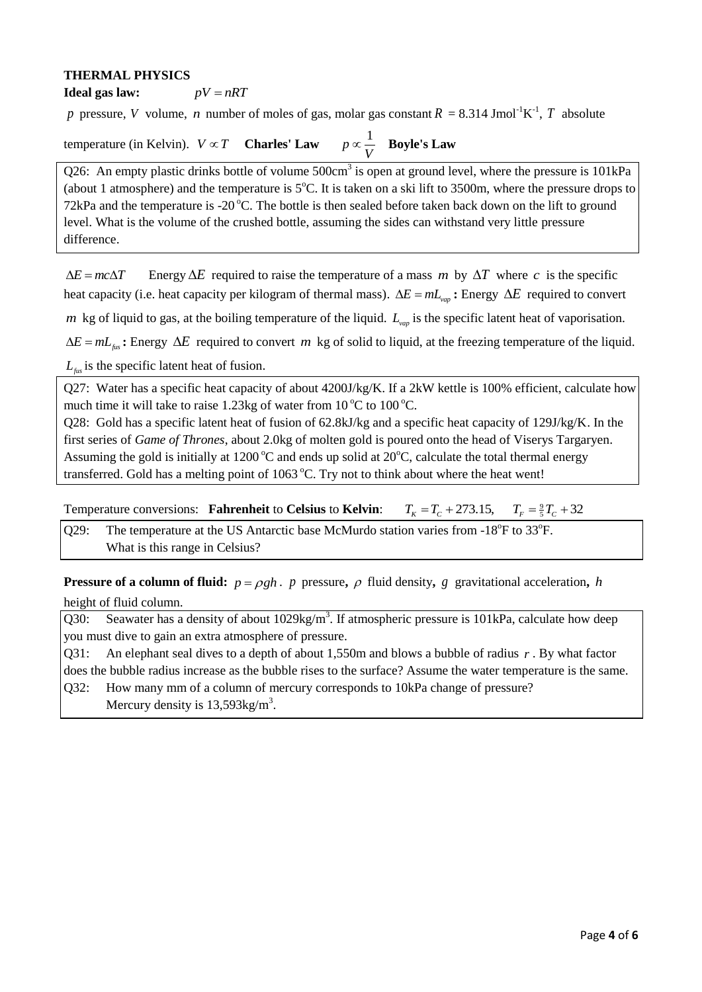#### **THERMAL PHYSICS**

**Ideal gas law:**  $pV = nRT$ 

p pressure, *V* volume, *n* number of moles of gas, molar gas constant  $R = 8.314$  Jmol<sup>-1</sup>K<sup>-1</sup>, *T* absolute

#### temperature (in Kelvin).  $V \propto T$  **Charles' Law**  $p \propto \frac{1}{\sigma}$ *V*  $\propto \frac{1}{\sigma}$  Boyle's Law

Q26: An empty plastic drinks bottle of volume  $500 \text{cm}^3$  is open at ground level, where the pressure is  $101 \text{kPa}$ (about 1 atmosphere) and the temperature is  $5^{\circ}$ C. It is taken on a ski lift to 3500m, where the pressure drops to 72kPa and the temperature is -20 $\degree$ C. The bottle is then sealed before taken back down on the lift to ground level. What is the volume of the crushed bottle, assuming the sides can withstand very little pressure difference.

 $\Delta E = mc\Delta T$ Energy  $\Delta E$  required to raise the temperature of a mass m by  $\Delta T$  where c is the specific heat capacity (i.e. heat capacity per kilogram of thermal mass).  $\Delta E = mL_{vap}$ : Energy  $\Delta E$  required to convert

*m* kg of liquid to gas, at the boiling temperature of the liquid.  $L_{vap}$  is the specific latent heat of vaporisation.

 $\Delta E = mL_{\text{fix}}$ : Energy  $\Delta E$  required to convert *m* kg of solid to liquid, at the freezing temperature of the liquid.

*Lfus* is the specific latent heat of fusion.

Q27: Water has a specific heat capacity of about 4200J/kg/K. If a 2kW kettle is 100% efficient, calculate how much time it will take to raise 1.23kg of water from  $10^{\circ}$ C to  $100^{\circ}$ C.

Q28: Gold has a specific latent heat of fusion of 62.8kJ/kg and a specific heat capacity of 129J/kg/K. In the first series of *Game of Thrones*, about 2.0kg of molten gold is poured onto the head of Viserys Targaryen. Assuming the gold is initially at 1200  $\degree$ C and ends up solid at 20 $\degree$ C, calculate the total thermal energy transferred. Gold has a melting point of  $1063^{\circ}$ C. Try not to think about where the heat went!

Temperature conversions: **Fahrenheit** to **Celsius** to **Kelvin**:  $T_K = T_C + 273.15$ ,  $T_F = \frac{9}{5}T_C + 32$ 

Q29: The temperature at the US Antarctic base McMurdo station varies from  $-18^{\circ}$ F to 33 $^{\circ}$ F. What is this range in Celsius?

**Pressure of a column of fluid:**  $p = \rho gh$ . *p* pressure,  $\rho$  fluid density, *g* gravitational acceleration, *h* height of fluid column.

Q30: Seawater has a density of about  $1029\text{kg/m}^3$ . If atmospheric pressure is  $101\text{kPa}$ , calculate how deep you must dive to gain an extra atmosphere of pressure.

Q31: An elephant seal dives to a depth of about 1,550m and blows a bubble of radius *r* . By what factor does the bubble radius increase as the bubble rises to the surface? Assume the water temperature is the same. Q32: How many mm of a column of mercury corresponds to 10kPa change of pressure? Mercury density is  $13,593$ kg/m<sup>3</sup>.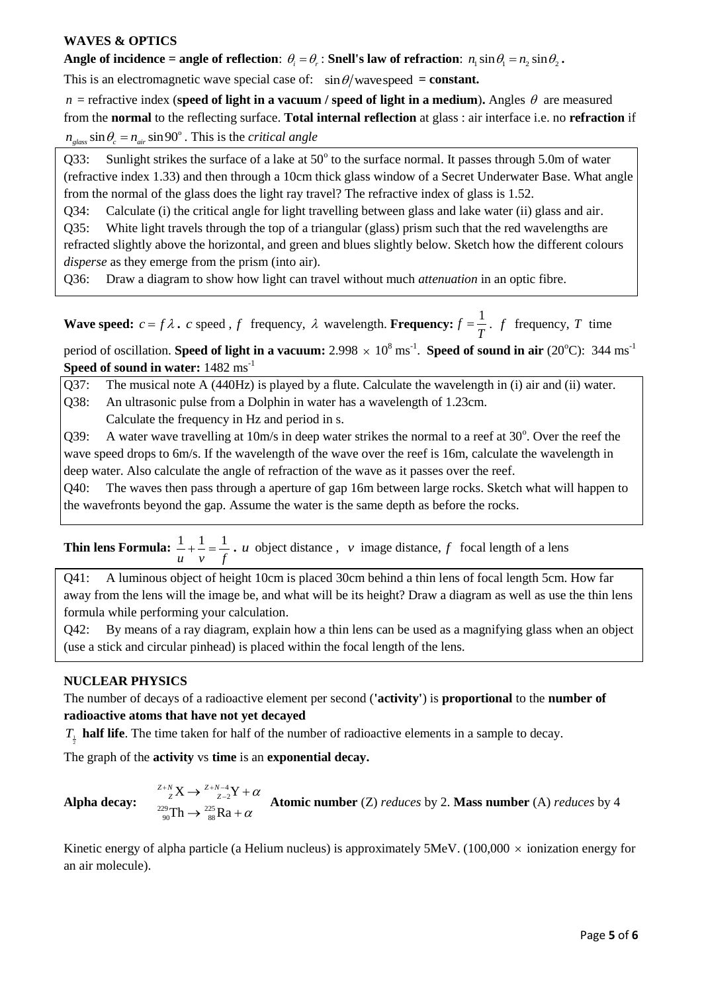# **WAVES & OPTICS**

Angle of incidence = angle of reflection:  $\theta_i = \theta_r$ : Snell's law of refraction:  $n_1 \sin \theta_1 = n_2 \sin \theta_2$ .

This is an electromagnetic wave special case of:  $\sin \theta$ /wavespeed = constant.

 $n$  = refractive index (speed of light in a vacuum / speed of light in a medium). Angles  $\theta$  are measured from the **normal** to the reflecting surface. **Total internal reflection** at glass : air interface i.e. no **refraction** if  $n_{glass} \sin \theta_c = n_{air} \sin 90^\circ$ . This is the *critical angle* 

Q33: Sunlight strikes the surface of a lake at  $50^{\circ}$  to the surface normal. It passes through 5.0m of water (refractive index 1.33) and then through a 10cm thick glass window of a Secret Underwater Base. What angle from the normal of the glass does the light ray travel? The refractive index of glass is 1.52.

Q34: Calculate (i) the critical angle for light travelling between glass and lake water (ii) glass and air.

Q35: White light travels through the top of a triangular (glass) prism such that the red wavelengths are refracted slightly above the horizontal, and green and blues slightly below. Sketch how the different colours *disperse* as they emerge from the prism (into air).

Q36: Draw a diagram to show how light can travel without much *attenuation* in an optic fibre.

**Wave speed:**  $c = f \lambda$ . *c* speed, *f* frequency,  $\lambda$  wavelength. **Frequency:**  $f = \frac{1}{n}$ *T*  $=\frac{1}{\pi}$ . *f* frequency, *T* time

period of oscillation. **Speed of light in a vacuum:**  $2.998 \times 10^8 \text{ ms}^{-1}$ . **Speed of sound in air** (20°C): 344 ms<sup>-1</sup> **Speed of sound in water:** 1482 ms-1

Q37: The musical note A (440Hz) is played by a flute. Calculate the wavelength in (i) air and (ii) water. Q38: An ultrasonic pulse from a Dolphin in water has a wavelength of 1.23cm.

Calculate the frequency in Hz and period in s.

Q39: A water wave travelling at  $10m/s$  in deep water strikes the normal to a reef at  $30^{\circ}$ . Over the reef the wave speed drops to 6m/s. If the wavelength of the wave over the reef is 16m, calculate the wavelength in deep water. Also calculate the angle of refraction of the wave as it passes over the reef.

Q40: The waves then pass through a aperture of gap 16m between large rocks. Sketch what will happen to the wavefronts beyond the gap. Assume the water is the same depth as before the rocks.

**Thin lens Formula:** 
$$
\frac{1}{u} + \frac{1}{v} = \frac{1}{f}
$$
 *u* object distance, *v* image distance, *f* focal length of a lens

Q41: A luminous object of height 10cm is placed 30cm behind a thin lens of focal length 5cm. How far away from the lens will the image be, and what will be its height? Draw a diagram as well as use the thin lens formula while performing your calculation.

Q42: By means of a ray diagram, explain how a thin lens can be used as a magnifying glass when an object (use a stick and circular pinhead) is placed within the focal length of the lens.

# **NUCLEAR PHYSICS**

The number of decays of a radioactive element per second (**'activity'**) is **proportional** to the **number of radioactive atoms that have not yet decayed**

 $T<sub>1</sub>$  **half life**. The time taken for half of the number of radioactive elements in a sample to decay.

The graph of the **activity** vs **time** is an **exponential decay.**

# **Alpha decay:**

 $\frac{4}{2}$  $^{229}_{90}Th \rightarrow ^{225}_{88}$  $X \rightarrow \frac{Z+N-4}{Z-2}Y$ Th  $\rightarrow \frac{225}{88}Ra$  $Z^{2+N}X \rightarrow Z^{2+N-4}Z+ \alpha$ α  $Z_Z^{\scriptscriptstyle{+N}}X \rightarrow Z_{Z-2}^{\scriptscriptstyle{+N-4}}Y + \alpha$ Atomic number (Z) *reduces* by 2. Mass number (A) *reduces* by 4<br> $\rightarrow \frac{255}{88}Ra + \alpha$ 

Kinetic energy of alpha particle (a Helium nucleus) is approximately 5MeV. (100,000  $\times$  ionization energy for an air molecule).